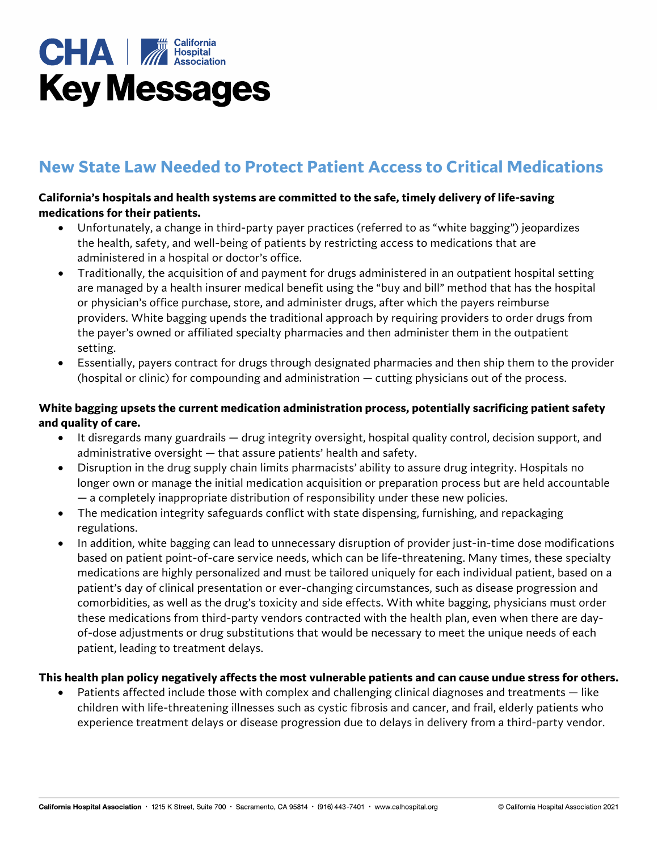

# **New State Law Needed to Protect Patient Access to Critical Medications**

#### **California's hospitals and health systems are committed to the safe, timely delivery of life-saving medications for their patients.**

- Unfortunately, a change in third-party payer practices (referred to as "white bagging") jeopardizes the health, safety, and well-being of patients by restricting access to medications that are administered in a hospital or doctor's office.
- Traditionally, the acquisition of and payment for drugs administered in an outpatient hospital setting are managed by a health insurer medical benefit using the "buy and bill" method that has the hospital or physician's office purchase, store, and administer drugs, after which the payers reimburse providers. White bagging upends the traditional approach by requiring providers to order drugs from the payer's owned or affiliated specialty pharmacies and then administer them in the outpatient setting.
- Essentially, payers contract for drugs through designated pharmacies and then ship them to the provider (hospital or clinic) for compounding and administration — cutting physicians out of the process.

### **White bagging upsets the current medication administration process, potentially sacrificing patient safety and quality of care.**

- It disregards many guardrails drug integrity oversight, hospital quality control, decision support, and administrative oversight — that assure patients' health and safety.
- Disruption in the drug supply chain limits pharmacists' ability to assure drug integrity. Hospitals no longer own or manage the initial medication acquisition or preparation process but are held accountable — a completely inappropriate distribution of responsibility under these new policies.
- The medication integrity safeguards conflict with state dispensing, furnishing, and repackaging regulations.
- In addition, white bagging can lead to unnecessary disruption of provider just-in-time dose modifications based on patient point-of-care service needs, which can be life-threatening. Many times, these specialty medications are highly personalized and must be tailored uniquely for each individual patient, based on a patient's day of clinical presentation or ever-changing circumstances, such as disease progression and comorbidities, as well as the drug's toxicity and side effects. With white bagging, physicians must order these medications from third-party vendors contracted with the health plan, even when there are dayof-dose adjustments or drug substitutions that would be necessary to meet the unique needs of each patient, leading to treatment delays.

#### **This health plan policy negatively affects the most vulnerable patients and can cause undue stress for others.**

Patients affected include those with complex and challenging clinical diagnoses and treatments – like children with life-threatening illnesses such as cystic fibrosis and cancer, and frail, elderly patients who experience treatment delays or disease progression due to delays in delivery from a third-party vendor.